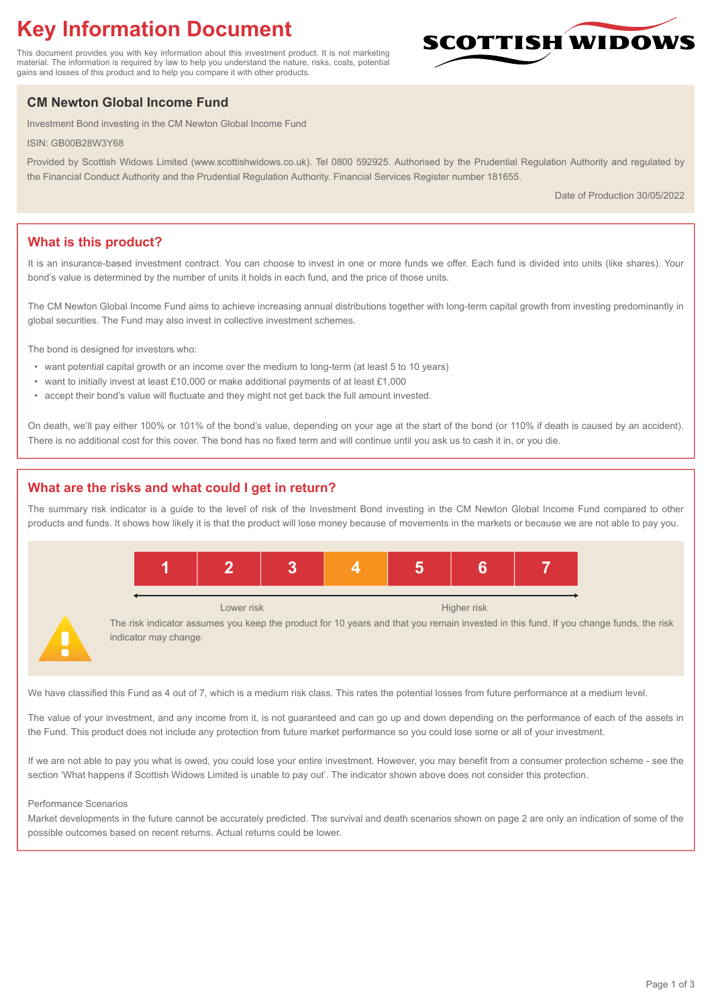# **Key Information Document**

This document provides you with key information about this investment product. It is not marketing material. The information is required by law to help you understand the nature, risks, costs, potential gains and losses of this product and to help you compare it with other products.

## **CM Newton Global Income Fund**

Investment Bond investing in the CM Newton Global Income Fund

ISIN: GB00B28W3Y68

Provided by Scottish Widows Limited (www.scottishwidows.co.uk). Tel 0800 592925. Authorised by the Prudential Regulation Authority and regulated by the Financial Conduct Authority and the Prudential Regulation Authority. Financial Services Register number 181655.

Date of Production 30/05/2022

**SCOTTISH WIDOW** 

## **What is this product?**

It is an insurance-based investment contract. You can choose to invest in one or more funds we offer. Each fund is divided into units (like shares). Your bond's value is determined by the number of units it holds in each fund, and the price of those units.

The CM Newton Global Income Fund aims to achieve increasing annual distributions together with long-term capital growth from investing predominantly in global securities. The Fund may also invest in collective investment schemes.

The bond is designed for investors who:

- want potential capital growth or an income over the medium to long-term (at least 5 to 10 years)
- want to initially invest at least £10,000 or make additional payments of at least £1,000
- accept their bond's value will fluctuate and they might not get back the full amount invested.

On death, we'll pay either 100% or 101% of the bond's value, depending on your age at the start of the bond (or 110% if death is caused by an accident). There is no additional cost for this cover. The bond has no fixed term and will continue until you ask us to cash it in, or you die.

### **What are the risks and what could I get in return?**

The summary risk indicator is a guide to the level of risk of the Investment Bond investing in the CM Newton Global Income Fund compared to other products and funds. It shows how likely it is that the product will lose money because of movements in the markets or because we are not able to pay you.



We have classified this Fund as 4 out of 7, which is a medium risk class. This rates the potential losses from future performance at a medium level.

The value of your investment, and any income from it, is not guaranteed and can go up and down depending on the performance of each of the assets in the Fund. This product does not include any protection from future market performance so you could lose some or all of your investment.

If we are not able to pay you what is owed, you could lose your entire investment. However, you may benefit from a consumer protection scheme - see the section 'What happens if Scottish Widows Limited is unable to pay out'. The indicator shown above does not consider this protection.

#### Performance Scenarios

Market developments in the future cannot be accurately predicted. The survival and death scenarios shown on page 2 are only an indication of some of the possible outcomes based on recent returns. Actual returns could be lower.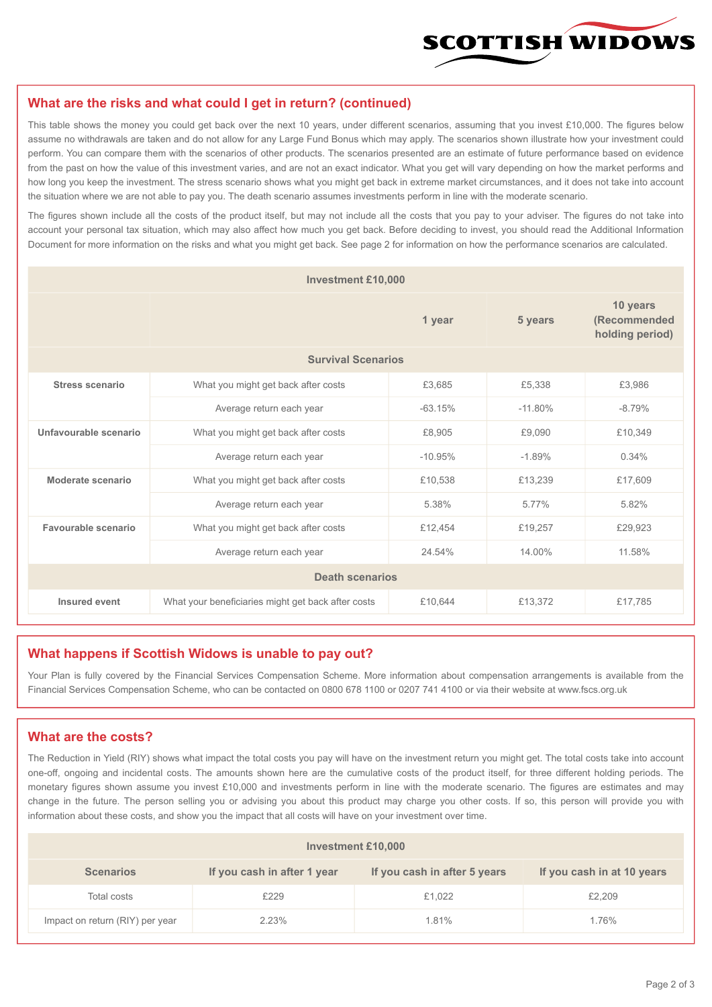

#### **What are the risks and what could I get in return? (continued)**

This table shows the money you could get back over the next 10 years, under different scenarios, assuming that you invest £10,000. The figures below assume no withdrawals are taken and do not allow for any Large Fund Bonus which may apply. The scenarios shown illustrate how your investment could perform. You can compare them with the scenarios of other products. The scenarios presented are an estimate of future performance based on evidence from the past on how the value of this investment varies, and are not an exact indicator. What you get will vary depending on how the market performs and how long you keep the investment. The stress scenario shows what you might get back in extreme market circumstances, and it does not take into account the situation where we are not able to pay you. The death scenario assumes investments perform in line with the moderate scenario.

The figures shown include all the costs of the product itself, but may not include all the costs that you pay to your adviser. The figures do not take into account your personal tax situation, which may also affect how much you get back. Before deciding to invest, you should read the Additional Information Document for more information on the risks and what you might get back. See page 2 for information on how the performance scenarios are calculated.

| <b>Investment £10,000</b> |                                                    |           |           |                                             |  |  |
|---------------------------|----------------------------------------------------|-----------|-----------|---------------------------------------------|--|--|
|                           | 1 year                                             |           | 5 years   | 10 years<br>(Recommended<br>holding period) |  |  |
| <b>Survival Scenarios</b> |                                                    |           |           |                                             |  |  |
| <b>Stress scenario</b>    | What you might get back after costs                | £3,685    | £5,338    | £3,986                                      |  |  |
|                           | Average return each year                           | $-63.15%$ | $-11.80%$ | $-8.79%$                                    |  |  |
| Unfavourable scenario     | What you might get back after costs<br>£8,905      |           | £9,090    | £10,349                                     |  |  |
|                           | Average return each year                           | $-10.95%$ | $-1.89%$  | 0.34%                                       |  |  |
| Moderate scenario         | What you might get back after costs                | £10,538   | £13,239   | £17,609                                     |  |  |
|                           | Average return each year                           | 5.38%     | 5.77%     | 5.82%                                       |  |  |
| Favourable scenario       | What you might get back after costs                | £12,454   | £19,257   | £29,923                                     |  |  |
|                           | Average return each year                           | 24.54%    | 14.00%    | 11.58%                                      |  |  |
| <b>Death scenarios</b>    |                                                    |           |           |                                             |  |  |
| Insured event             | What your beneficiaries might get back after costs | £10,644   | £13,372   | £17,785                                     |  |  |

#### **What happens if Scottish Widows is unable to pay out?**

Your Plan is fully covered by the Financial Services Compensation Scheme. More information about compensation arrangements is available from the Financial Services Compensation Scheme, who can be contacted on 0800 678 1100 or 0207 741 4100 or via their website at www.fscs.org.uk

#### **What are the costs?**

The Reduction in Yield (RIY) shows what impact the total costs you pay will have on the investment return you might get. The total costs take into account one-off, ongoing and incidental costs. The amounts shown here are the cumulative costs of the product itself, for three different holding periods. The monetary figures shown assume you invest £10,000 and investments perform in line with the moderate scenario. The figures are estimates and may change in the future. The person selling you or advising you about this product may charge you other costs. If so, this person will provide you with information about these costs, and show you the impact that all costs will have on your investment over time.

| Investment £10,000              |                             |                              |                            |  |  |  |
|---------------------------------|-----------------------------|------------------------------|----------------------------|--|--|--|
| <b>Scenarios</b>                | If you cash in after 1 year | If you cash in after 5 years | If you cash in at 10 years |  |  |  |
| Total costs                     | £229                        | £1,022                       | £2,209                     |  |  |  |
| Impact on return (RIY) per year | 2.23%                       | 1.81%                        | 1.76%                      |  |  |  |